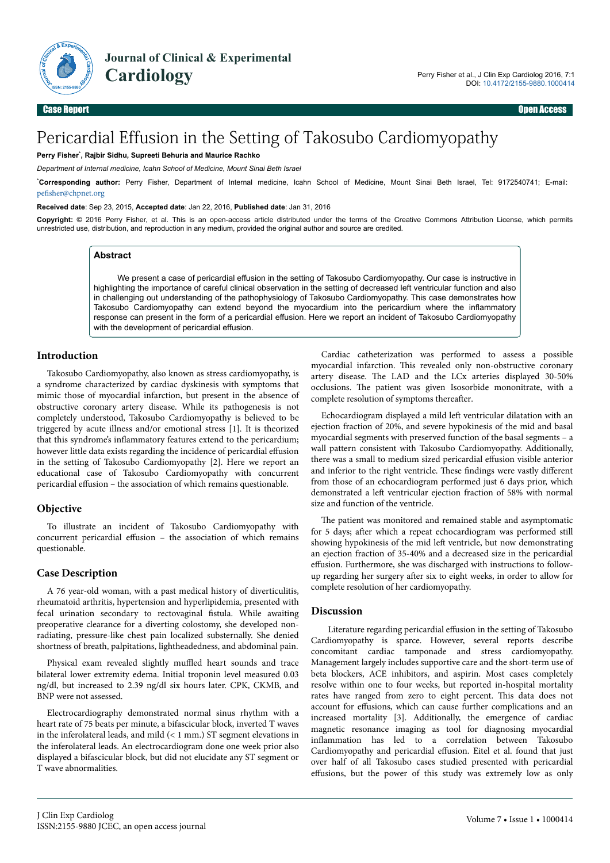

**Journal of Clinical & Experimental Cardiology** 

# Pericardial Effusion in the Setting of Takosubo Cardiomyopathy

#### **Perry Fisher**\* **, Rajbir Sidhu, Supreeti Behuria and Maurice Rachko**

*Department of Internal medicine, Icahn School of Medicine, Mount Sinai Beth Israel*

\***Corresponding author:** Perry Fisher, Department of Internal medicine, Icahn School of Medicine, Mount Sinai Beth Israel, Tel: 9172540741; E-mail: pefisher@chpnet.org

#### **Received date**: Sep 23, 2015, **Accepted date**: Jan 22, 2016, **Published date**: Jan 31, 2016

**Copyright:** © 2016 Perry Fisher, et al. This is an open-access article distributed under the terms of the Creative Commons Attribution License, which permits unrestricted use, distribution, and reproduction in any medium, provided the original author and source are credited.

#### **Abstract**

We present a case of pericardial effusion in the setting of Takosubo Cardiomyopathy. Our case is instructive in highlighting the importance of careful clinical observation in the setting of decreased left ventricular function and also in challenging out understanding of the pathophysiology of Takosubo Cardiomyopathy. This case demonstrates how Takosubo Cardiomyopathy can extend beyond the myocardium into the pericardium where the inflammatory response can present in the form of a pericardial effusion. Here we report an incident of Takosubo Cardiomyopathy with the development of pericardial effusion.

# **Introduction**

Takosubo Cardiomyopathy, also known as stress cardiomyopathy, is a syndrome characterized by cardiac dyskinesis with symptoms that mimic those of myocardial infarction, but present in the absence of obstructive coronary artery disease. While its pathogenesis is not completely understood, Takosubo Cardiomyopathy is believed to be triggered by acute illness and/or emotional stress [1]. It is theorized that this syndrome's inflammatory features extend to the pericardium; however little data exists regarding the incidence of pericardial effusion in the setting of Takosubo Cardiomyopathy [2]. Here we report an educational case of Takosubo Cardiomyopathy with concurrent pericardial effusion – the association of which remains questionable.

# **Objective**

To illustrate an incident of Takosubo Cardiomyopathy with concurrent pericardial effusion - the association of which remains questionable.

## **Case Description**

A 76 year-old woman, with a past medical history of diverticulitis, rheumatoid arthritis, hypertension and hyperlipidemia, presented with fecal urination secondary to rectovaginal fistula. While awaiting preoperative clearance for a diverting colostomy, she developed nonradiating, pressure-like chest pain localized substernally. She denied shortness of breath, palpitations, lightheadedness, and abdominal pain.

Physical exam revealed slightly muffled heart sounds and trace bilateral lower extremity edema. Initial troponin level measured 0.03 ng/dl, but increased to 2.39 ng/dl six hours later. CPK, CKMB, and BNP were not assessed.

Electrocardiography demonstrated normal sinus rhythm with a heart rate of 75 beats per minute, a bifascicular block, inverted T waves in the inferolateral leads, and mild  $(< 1$  mm.) ST segment elevations in the inferolateral leads. An electrocardiogram done one week prior also displayed a bifascicular block, but did not elucidate any ST segment or T wave abnormalities.

Cardiac catheterization was performed to assess a possible myocardial infarction. Нis revealed only non-obstructive coronary artery disease. Нe LAD and the LCx arteries displayed 30-50% occlusions. Нe patient was given Isosorbide mononitrate, with a complete resolution of symptoms thereafter.

Echocardiogram displayed a mild left ventricular dilatation with an ejection fraction of 20%, and severe hypokinesis of the mid and basal myocardial segments with preserved function of the basal segments – a wall pattern consistent with Takosubo Cardiomyopathy. Additionally, there was a small to medium sized pericardial effusion visible anterior and inferior to the right ventricle. These findings were vastly different from those of an echocardiogram performed just 6 days prior, which demonstrated a left ventricular ejection fraction of 58% with normal size and function of the ventricle.

The patient was monitored and remained stable and asymptomatic for 5 days; after which a repeat echocardiogram was performed still showing hypokinesis of the mid left ventricle, but now demonstrating an ejection fraction of 35-40% and a decreased size in the pericardial effusion. Furthermore, she was discharged with instructions to followup regarding her surgery after six to eight weeks, in order to allow for complete resolution of her cardiomyopathy.

#### **Discussion**

Literature regarding pericardial effusion in the setting of Takosubo Cardiomyopathy is sparce. However, several reports describe concomitant cardiac tamponade and stress cardiomyopathy. Management largely includes supportive care and the short-term use of beta blockers, ACE inhibitors, and aspirin. Most cases completely resolve within one to four weeks, but reported in-hospital mortality rates have ranged from zero to eight percent. Нis data does not account for effusions, which can cause further complications and an increased mortality [3]. Additionally, the emergence of cardiac magnetic resonance imaging as tool for diagnosing myocardial inflammation has led to a correlation between Takosubo Cardiomyopathy and pericardial effusion. Eitel et al. found that just over half of all Takosubo cases studied presented with pericardial effusions, but the power of this study was extremely low as only